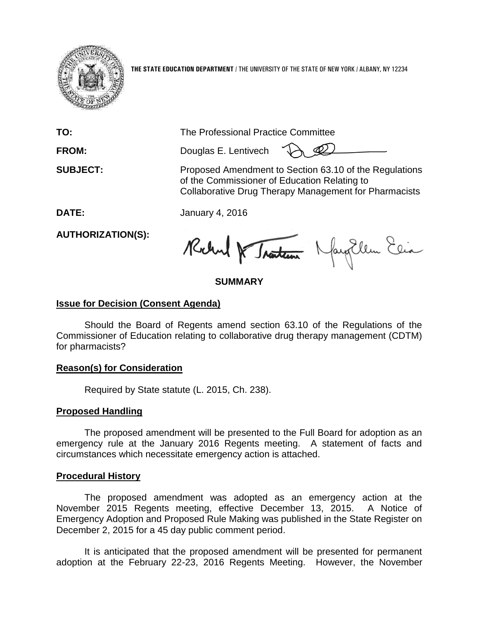

**THE STATE EDUCATION DEPARTMENT** / THE UNIVERSITY OF THE STATE OF NEW YORK / ALBANY, NY 12234

**TO:** The Professional Practice Committee

**FROM:** Douglas E. Lentivech

**SUBJECT:** Proposed Amendment to Section 63.10 of the Regulations of the Commissioner of Education Relating to Collaborative Drug Therapy Management for Pharmacists

**DATE:** January 4, 2016

**AUTHORIZATION(S):**

Rochal & Traten Nayollen Elia

## **SUMMARY**

## **Issue for Decision (Consent Agenda)**

Should the Board of Regents amend section 63.10 of the Regulations of the Commissioner of Education relating to collaborative drug therapy management (CDTM) for pharmacists?

### **Reason(s) for Consideration**

Required by State statute (L. 2015, Ch. 238).

## **Proposed Handling**

The proposed amendment will be presented to the Full Board for adoption as an emergency rule at the January 2016 Regents meeting. A statement of facts and circumstances which necessitate emergency action is attached.

## **Procedural History**

The proposed amendment was adopted as an emergency action at the November 2015 Regents meeting, effective December 13, 2015. A Notice of Emergency Adoption and Proposed Rule Making was published in the State Register on December 2, 2015 for a 45 day public comment period.

It is anticipated that the proposed amendment will be presented for permanent adoption at the February 22-23, 2016 Regents Meeting. However, the November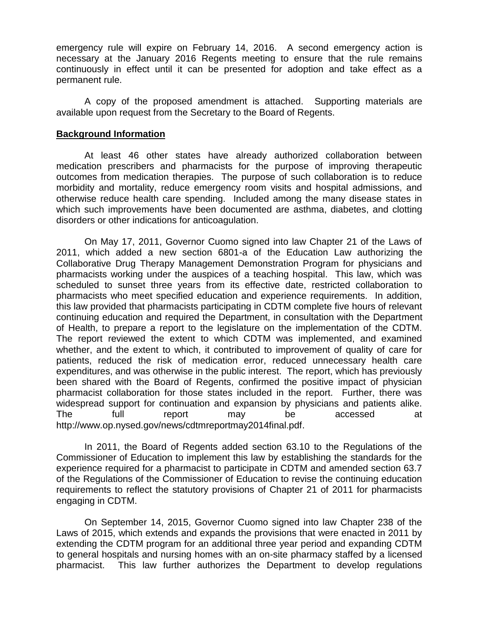emergency rule will expire on February 14, 2016. A second emergency action is necessary at the January 2016 Regents meeting to ensure that the rule remains continuously in effect until it can be presented for adoption and take effect as a permanent rule.

A copy of the proposed amendment is attached. Supporting materials are available upon request from the Secretary to the Board of Regents.

#### **Background Information**

At least 46 other states have already authorized collaboration between medication prescribers and pharmacists for the purpose of improving therapeutic outcomes from medication therapies. The purpose of such collaboration is to reduce morbidity and mortality, reduce emergency room visits and hospital admissions, and otherwise reduce health care spending. Included among the many disease states in which such improvements have been documented are asthma, diabetes, and clotting disorders or other indications for anticoagulation.

On May 17, 2011, Governor Cuomo signed into law Chapter 21 of the Laws of 2011, which added a new section 6801-a of the Education Law authorizing the Collaborative Drug Therapy Management Demonstration Program for physicians and pharmacists working under the auspices of a teaching hospital. This law, which was scheduled to sunset three years from its effective date, restricted collaboration to pharmacists who meet specified education and experience requirements. In addition, this law provided that pharmacists participating in CDTM complete five hours of relevant continuing education and required the Department, in consultation with the Department of Health, to prepare a report to the legislature on the implementation of the CDTM. The report reviewed the extent to which CDTM was implemented, and examined whether, and the extent to which, it contributed to improvement of quality of care for patients, reduced the risk of medication error, reduced unnecessary health care expenditures, and was otherwise in the public interest. The report, which has previously been shared with the Board of Regents, confirmed the positive impact of physician pharmacist collaboration for those states included in the report. Further, there was widespread support for continuation and expansion by physicians and patients alike. The full report may be accessed at http://www.op.nysed.gov/news/cdtmreportmay2014final.pdf.

In 2011, the Board of Regents added section 63.10 to the Regulations of the Commissioner of Education to implement this law by establishing the standards for the experience required for a pharmacist to participate in CDTM and amended section 63.7 of the Regulations of the Commissioner of Education to revise the continuing education requirements to reflect the statutory provisions of Chapter 21 of 2011 for pharmacists engaging in CDTM.

On September 14, 2015, Governor Cuomo signed into law Chapter 238 of the Laws of 2015, which extends and expands the provisions that were enacted in 2011 by extending the CDTM program for an additional three year period and expanding CDTM to general hospitals and nursing homes with an on-site pharmacy staffed by a licensed pharmacist. This law further authorizes the Department to develop regulations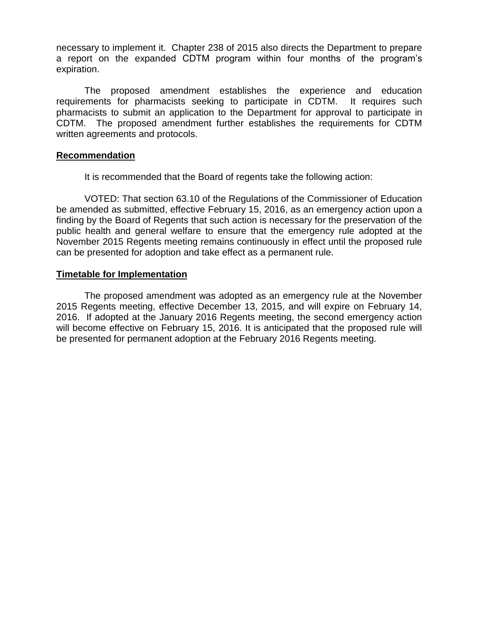necessary to implement it. Chapter 238 of 2015 also directs the Department to prepare a report on the expanded CDTM program within four months of the program's expiration.

The proposed amendment establishes the experience and education requirements for pharmacists seeking to participate in CDTM. It requires such pharmacists to submit an application to the Department for approval to participate in CDTM. The proposed amendment further establishes the requirements for CDTM written agreements and protocols.

#### **Recommendation**

It is recommended that the Board of regents take the following action:

VOTED: That section 63.10 of the Regulations of the Commissioner of Education be amended as submitted, effective February 15, 2016, as an emergency action upon a finding by the Board of Regents that such action is necessary for the preservation of the public health and general welfare to ensure that the emergency rule adopted at the November 2015 Regents meeting remains continuously in effect until the proposed rule can be presented for adoption and take effect as a permanent rule.

### **Timetable for Implementation**

The proposed amendment was adopted as an emergency rule at the November 2015 Regents meeting, effective December 13, 2015, and will expire on February 14, 2016. If adopted at the January 2016 Regents meeting, the second emergency action will become effective on February 15, 2016. It is anticipated that the proposed rule will be presented for permanent adoption at the February 2016 Regents meeting.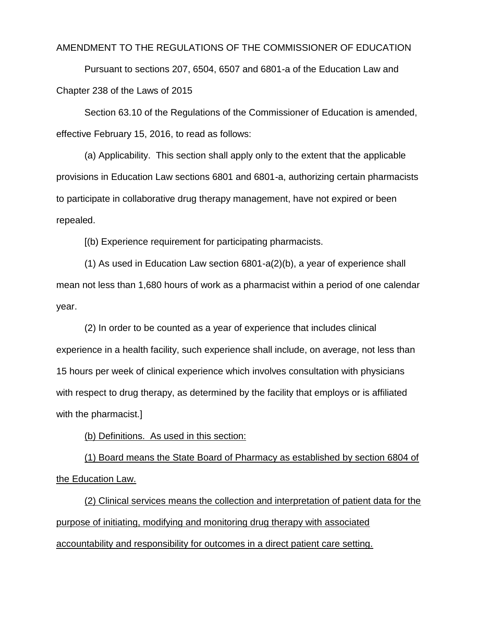#### AMENDMENT TO THE REGULATIONS OF THE COMMISSIONER OF EDUCATION

Pursuant to sections 207, 6504, 6507 and 6801-a of the Education Law and Chapter 238 of the Laws of 2015

Section 63.10 of the Regulations of the Commissioner of Education is amended, effective February 15, 2016, to read as follows:

(a) Applicability. This section shall apply only to the extent that the applicable provisions in Education Law sections 6801 and 6801-a, authorizing certain pharmacists to participate in collaborative drug therapy management, have not expired or been repealed.

[(b) Experience requirement for participating pharmacists.

(1) As used in Education Law section 6801-a(2)(b), a year of experience shall mean not less than 1,680 hours of work as a pharmacist within a period of one calendar year.

(2) In order to be counted as a year of experience that includes clinical experience in a health facility, such experience shall include, on average, not less than 15 hours per week of clinical experience which involves consultation with physicians with respect to drug therapy, as determined by the facility that employs or is affiliated with the pharmacist.]

(b) Definitions. As used in this section:

(1) Board means the State Board of Pharmacy as established by section 6804 of the Education Law.

(2) Clinical services means the collection and interpretation of patient data for the purpose of initiating, modifying and monitoring drug therapy with associated accountability and responsibility for outcomes in a direct patient care setting.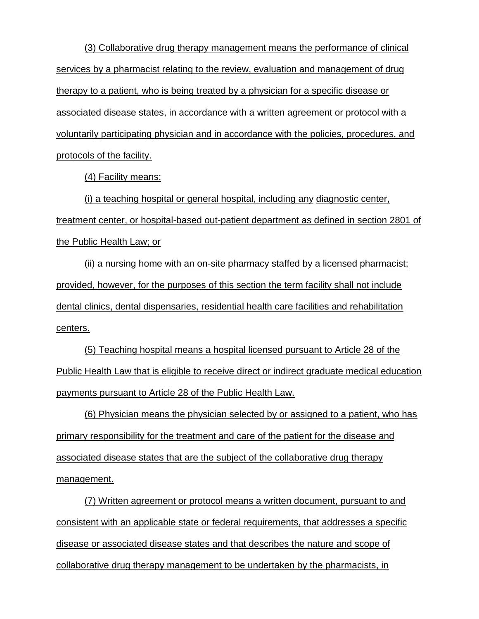(3) Collaborative drug therapy management means the performance of clinical services by a pharmacist relating to the review, evaluation and management of drug therapy to a patient, who is being treated by a physician for a specific disease or associated disease states, in accordance with a written agreement or protocol with a voluntarily participating physician and in accordance with the policies, procedures, and protocols of the facility.

(4) Facility means:

(i) a teaching hospital or general hospital, including any diagnostic center, treatment center, or hospital-based out-patient department as defined in section 2801 of the Public Health Law; or

(ii) a nursing home with an on-site pharmacy staffed by a licensed pharmacist; provided, however, for the purposes of this section the term facility shall not include dental clinics, dental dispensaries, residential health care facilities and rehabilitation centers.

(5) Teaching hospital means a hospital licensed pursuant to Article 28 of the Public Health Law that is eligible to receive direct or indirect graduate medical education payments pursuant to Article 28 of the Public Health Law.

(6) Physician means the physician selected by or assigned to a patient, who has primary responsibility for the treatment and care of the patient for the disease and associated disease states that are the subject of the collaborative drug therapy management.

(7) Written agreement or protocol means a written document, pursuant to and consistent with an applicable state or federal requirements, that addresses a specific disease or associated disease states and that describes the nature and scope of collaborative drug therapy management to be undertaken by the pharmacists, in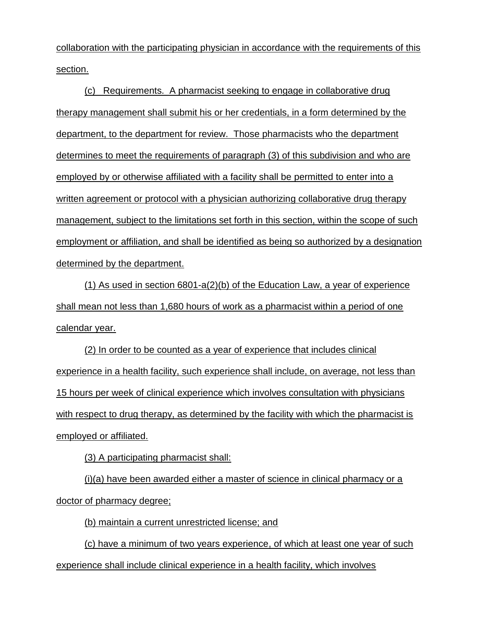collaboration with the participating physician in accordance with the requirements of this section.

(c) Requirements. A pharmacist seeking to engage in collaborative drug therapy management shall submit his or her credentials, in a form determined by the department, to the department for review. Those pharmacists who the department determines to meet the requirements of paragraph (3) of this subdivision and who are employed by or otherwise affiliated with a facility shall be permitted to enter into a written agreement or protocol with a physician authorizing collaborative drug therapy management, subject to the limitations set forth in this section, within the scope of such employment or affiliation, and shall be identified as being so authorized by a designation determined by the department.

(1) As used in section 6801-a(2)(b) of the Education Law, a year of experience shall mean not less than 1,680 hours of work as a pharmacist within a period of one calendar year.

(2) In order to be counted as a year of experience that includes clinical experience in a health facility, such experience shall include, on average, not less than 15 hours per week of clinical experience which involves consultation with physicians with respect to drug therapy, as determined by the facility with which the pharmacist is employed or affiliated.

(3) A participating pharmacist shall:

(i)(a) have been awarded either a master of science in clinical pharmacy or a doctor of pharmacy degree;

(b) maintain a current unrestricted license; and

(c) have a minimum of two years experience, of which at least one year of such experience shall include clinical experience in a health facility, which involves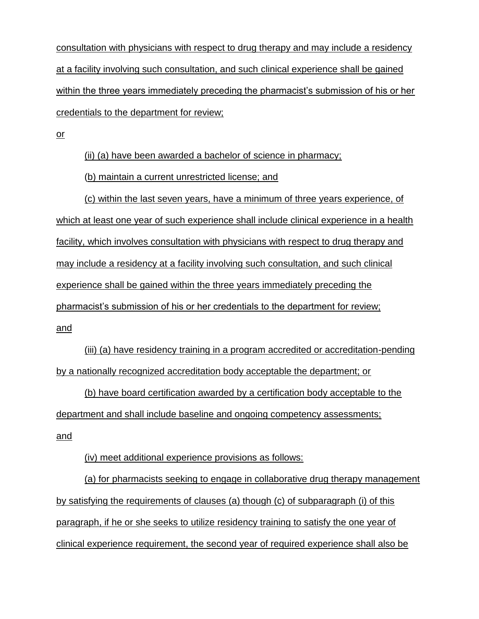consultation with physicians with respect to drug therapy and may include a residency at a facility involving such consultation, and such clinical experience shall be gained within the three years immediately preceding the pharmacist's submission of his or her credentials to the department for review;

or

(ii) (a) have been awarded a bachelor of science in pharmacy;

(b) maintain a current unrestricted license; and

(c) within the last seven years, have a minimum of three years experience, of which at least one year of such experience shall include clinical experience in a health facility, which involves consultation with physicians with respect to drug therapy and may include a residency at a facility involving such consultation, and such clinical experience shall be gained within the three years immediately preceding the pharmacist's submission of his or her credentials to the department for review; and

(iii) (a) have residency training in a program accredited or accreditation-pending by a nationally recognized accreditation body acceptable the department; or

(b) have board certification awarded by a certification body acceptable to the department and shall include baseline and ongoing competency assessments; and

(iv) meet additional experience provisions as follows:

(a) for pharmacists seeking to engage in collaborative drug therapy management by satisfying the requirements of clauses (a) though (c) of subparagraph (i) of this paragraph, if he or she seeks to utilize residency training to satisfy the one year of clinical experience requirement, the second year of required experience shall also be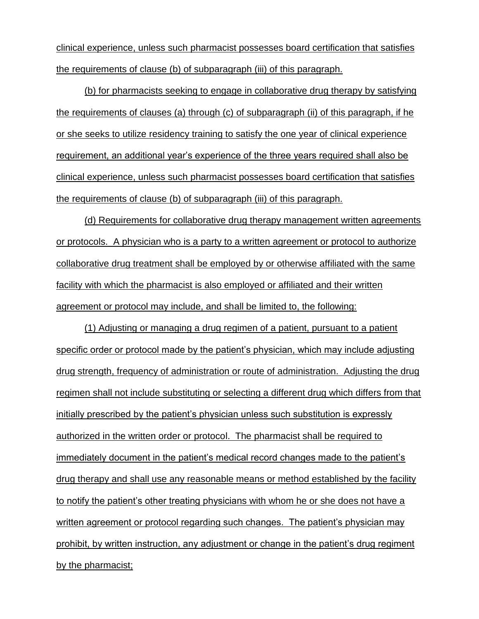clinical experience, unless such pharmacist possesses board certification that satisfies the requirements of clause (b) of subparagraph (iii) of this paragraph.

(b) for pharmacists seeking to engage in collaborative drug therapy by satisfying the requirements of clauses (a) through (c) of subparagraph (ii) of this paragraph, if he or she seeks to utilize residency training to satisfy the one year of clinical experience requirement, an additional year's experience of the three years required shall also be clinical experience, unless such pharmacist possesses board certification that satisfies the requirements of clause (b) of subparagraph (iii) of this paragraph.

(d) Requirements for collaborative drug therapy management written agreements or protocols. A physician who is a party to a written agreement or protocol to authorize collaborative drug treatment shall be employed by or otherwise affiliated with the same facility with which the pharmacist is also employed or affiliated and their written agreement or protocol may include, and shall be limited to, the following:

(1) Adjusting or managing a drug regimen of a patient, pursuant to a patient specific order or protocol made by the patient's physician, which may include adjusting drug strength, frequency of administration or route of administration. Adjusting the drug regimen shall not include substituting or selecting a different drug which differs from that initially prescribed by the patient's physician unless such substitution is expressly authorized in the written order or protocol. The pharmacist shall be required to immediately document in the patient's medical record changes made to the patient's drug therapy and shall use any reasonable means or method established by the facility to notify the patient's other treating physicians with whom he or she does not have a written agreement or protocol regarding such changes. The patient's physician may prohibit, by written instruction, any adjustment or change in the patient's drug regiment by the pharmacist;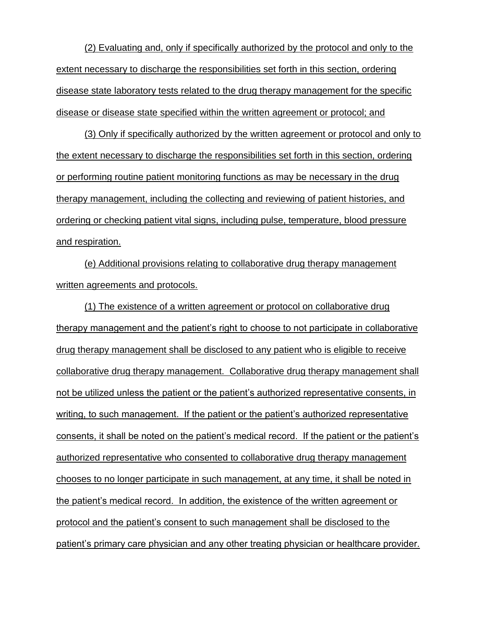(2) Evaluating and, only if specifically authorized by the protocol and only to the extent necessary to discharge the responsibilities set forth in this section, ordering disease state laboratory tests related to the drug therapy management for the specific disease or disease state specified within the written agreement or protocol; and

(3) Only if specifically authorized by the written agreement or protocol and only to the extent necessary to discharge the responsibilities set forth in this section, ordering or performing routine patient monitoring functions as may be necessary in the drug therapy management, including the collecting and reviewing of patient histories, and ordering or checking patient vital signs, including pulse, temperature, blood pressure and respiration.

(e) Additional provisions relating to collaborative drug therapy management written agreements and protocols.

(1) The existence of a written agreement or protocol on collaborative drug therapy management and the patient's right to choose to not participate in collaborative drug therapy management shall be disclosed to any patient who is eligible to receive collaborative drug therapy management. Collaborative drug therapy management shall not be utilized unless the patient or the patient's authorized representative consents, in writing, to such management. If the patient or the patient's authorized representative consents, it shall be noted on the patient's medical record. If the patient or the patient's authorized representative who consented to collaborative drug therapy management chooses to no longer participate in such management, at any time, it shall be noted in the patient's medical record. In addition, the existence of the written agreement or protocol and the patient's consent to such management shall be disclosed to the patient's primary care physician and any other treating physician or healthcare provider.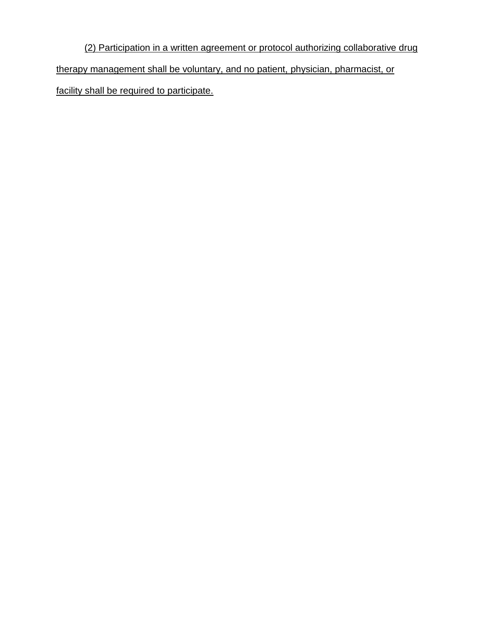(2) Participation in a written agreement or protocol authorizing collaborative drug therapy management shall be voluntary, and no patient, physician, pharmacist, or facility shall be required to participate.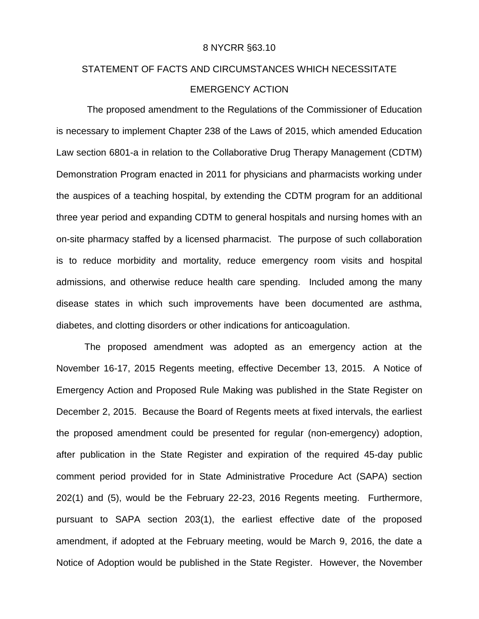#### 8 NYCRR §63.10

# STATEMENT OF FACTS AND CIRCUMSTANCES WHICH NECESSITATE EMERGENCY ACTION

The proposed amendment to the Regulations of the Commissioner of Education is necessary to implement Chapter 238 of the Laws of 2015, which amended Education Law section 6801-a in relation to the Collaborative Drug Therapy Management (CDTM) Demonstration Program enacted in 2011 for physicians and pharmacists working under the auspices of a teaching hospital, by extending the CDTM program for an additional three year period and expanding CDTM to general hospitals and nursing homes with an on-site pharmacy staffed by a licensed pharmacist. The purpose of such collaboration is to reduce morbidity and mortality, reduce emergency room visits and hospital admissions, and otherwise reduce health care spending. Included among the many disease states in which such improvements have been documented are asthma, diabetes, and clotting disorders or other indications for anticoagulation.

The proposed amendment was adopted as an emergency action at the November 16-17, 2015 Regents meeting, effective December 13, 2015. A Notice of Emergency Action and Proposed Rule Making was published in the State Register on December 2, 2015. Because the Board of Regents meets at fixed intervals, the earliest the proposed amendment could be presented for regular (non-emergency) adoption, after publication in the State Register and expiration of the required 45-day public comment period provided for in State Administrative Procedure Act (SAPA) section 202(1) and (5), would be the February 22-23, 2016 Regents meeting. Furthermore, pursuant to SAPA section 203(1), the earliest effective date of the proposed amendment, if adopted at the February meeting, would be March 9, 2016, the date a Notice of Adoption would be published in the State Register. However, the November